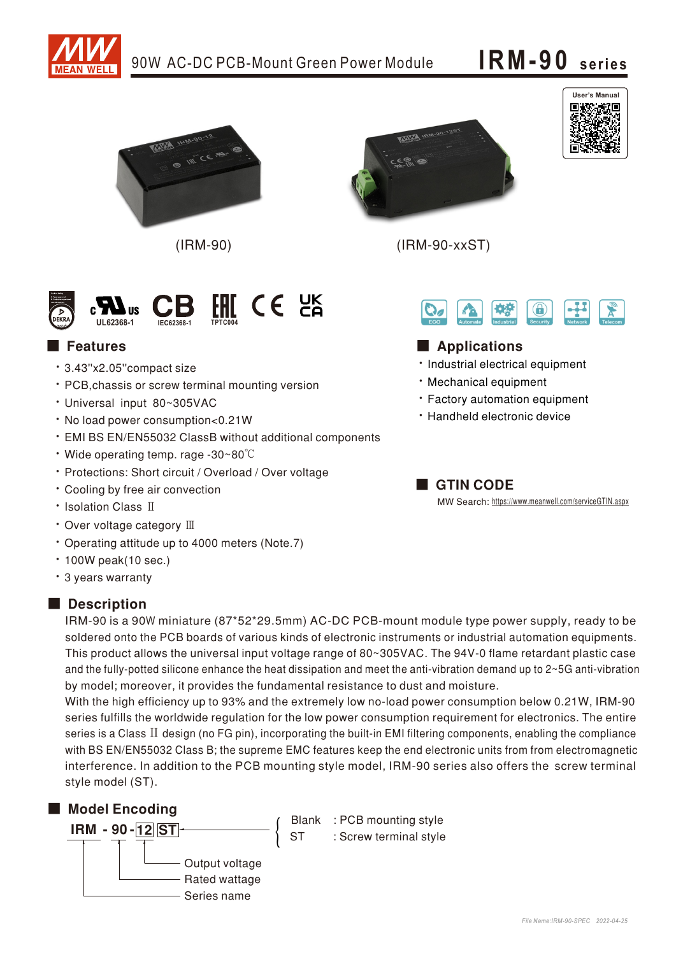

## 90W AC-DC PCB-Mount Green Power Module

# IRM-90 series



 $(IRM-90)$ 



 $(IRM-90-xxST)$ 





#### Applications

- · Industrial electrical equipment
- · Mechanical equipment
- · Factory automation equipment
- \* Handheld electronic device

GTIN CODE

MW Search: https://www.meanwell.com/serviceGTIN.aspx



### **Features**

- · 3.43"x2.05" compact size
- · PCB, chassis or screw terminal mounting version
- · Universal input 80~305VAC
- . No load power consumption<0.21W
- · EMI BS EN/EN55032 ClassB without additional components
- Wide operating temp. rage -30~80 $^{\circ}$ C
- · Protections: Short circuit / Overload / Over voltage
- Cooling by free air convection
- Isolation Class II
- Over voltage category III
- Operating attitude up to 4000 meters (Note.7)
- $\cdot$  100W peak(10 sec.)
- · 3 years warranty

#### Description

IRM-90 is a 90W miniature (87\*52\*29.5mm) AC-DC PCB-mount module type power supply, ready to be soldered onto the PCB boards of various kinds of electronic instruments or industrial automation equipments. This product allows the universal input voltage range of 80~305VAC. The 94V-0 flame retardant plastic case and the fully-potted silicone enhance the heat dissipation and meet the anti-vibration demand up to 2~5G anti-vibration by model; moreover, it provides the fundamental resistance to dust and moisture.

With the high efficiency up to 93% and the extremely low no-load power consumption below 0.21W, IRM-90 series fulfills the worldwide regulation for the low power consumption requirement for electronics. The entire series is a Class II design (no FG pin), incorporating the built-in EMI filtering components, enabling the compliance with BS EN/EN55032 Class B; the supreme EMC features keep the end electronic units from from electromagnetic interference. In addition to the PCB mounting style model, IRM-90 series also offers the screw terminal style model (ST).

**ST** 

#### Model Encoding



Blank : PCB mounting style : Screw terminal style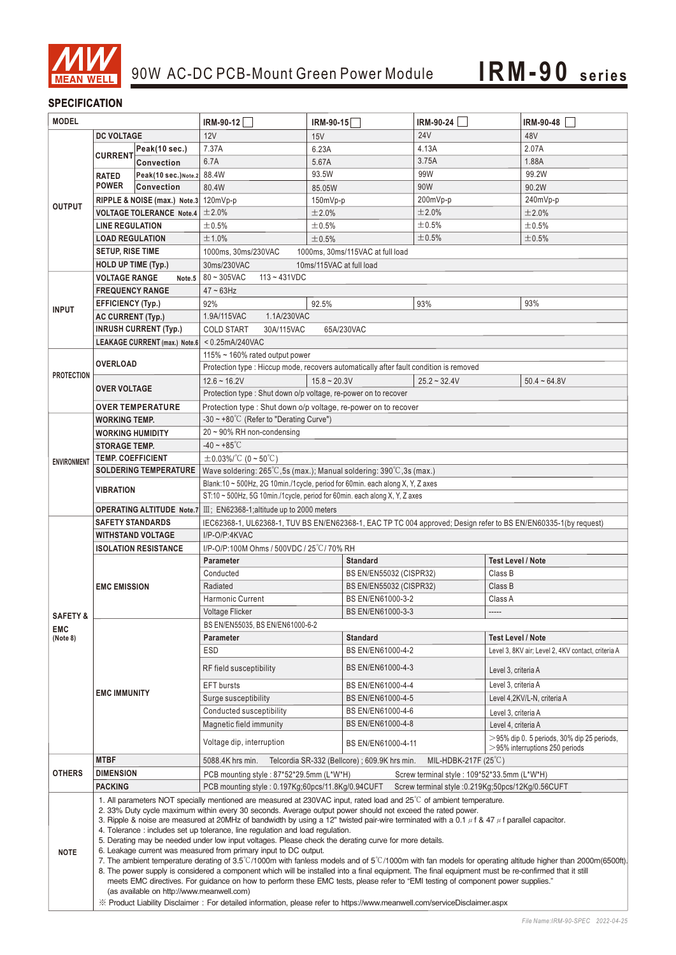

#### **SPECIFICATION**

| <b>MODEL</b>        |                                                                                                                                                                                                                                                                                                                                                                                                                                                                                                                                                                                                                                                                                                                                                                                                                                                                                                                                                                                                                                                                                                                                                                       | IRM-90-12            | IRM-90-15                                                                                                       | IRM-90-24               | <b>IRM-90-48</b> |                                                    |
|---------------------|-----------------------------------------------------------------------------------------------------------------------------------------------------------------------------------------------------------------------------------------------------------------------------------------------------------------------------------------------------------------------------------------------------------------------------------------------------------------------------------------------------------------------------------------------------------------------------------------------------------------------------------------------------------------------------------------------------------------------------------------------------------------------------------------------------------------------------------------------------------------------------------------------------------------------------------------------------------------------------------------------------------------------------------------------------------------------------------------------------------------------------------------------------------------------|----------------------|-----------------------------------------------------------------------------------------------------------------|-------------------------|------------------|----------------------------------------------------|
|                     | <b>DC VOLTAGE</b>                                                                                                                                                                                                                                                                                                                                                                                                                                                                                                                                                                                                                                                                                                                                                                                                                                                                                                                                                                                                                                                                                                                                                     |                      | 12V                                                                                                             | 15V                     | <b>24V</b>       | 48V                                                |
| <b>OUTPUT</b>       |                                                                                                                                                                                                                                                                                                                                                                                                                                                                                                                                                                                                                                                                                                                                                                                                                                                                                                                                                                                                                                                                                                                                                                       | Peak(10 sec.)        | 7.37A                                                                                                           | 6.23A                   | 4.13A            | 2.07A                                              |
|                     | <b>CURRENT</b>                                                                                                                                                                                                                                                                                                                                                                                                                                                                                                                                                                                                                                                                                                                                                                                                                                                                                                                                                                                                                                                                                                                                                        | Convection           | 6.7A                                                                                                            | 5.67A                   | 3.75A            | 1.88A                                              |
|                     | <b>RATED</b>                                                                                                                                                                                                                                                                                                                                                                                                                                                                                                                                                                                                                                                                                                                                                                                                                                                                                                                                                                                                                                                                                                                                                          | Peak(10 sec.) Note.2 | 88.4W                                                                                                           | 93.5W                   | 99W              | 99.2W                                              |
|                     | <b>POWER</b>                                                                                                                                                                                                                                                                                                                                                                                                                                                                                                                                                                                                                                                                                                                                                                                                                                                                                                                                                                                                                                                                                                                                                          | Convection           | 80.4W                                                                                                           | 85.05W                  | 90W              | 90.2W                                              |
|                     | RIPPLE & NOISE (max.) Note.3 120mVp-p                                                                                                                                                                                                                                                                                                                                                                                                                                                                                                                                                                                                                                                                                                                                                                                                                                                                                                                                                                                                                                                                                                                                 |                      |                                                                                                                 | 150mVp-p                | 200mVp-p         | 240mVp-p                                           |
|                     | <b>VOLTAGE TOLERANCE Note.4</b>                                                                                                                                                                                                                                                                                                                                                                                                                                                                                                                                                                                                                                                                                                                                                                                                                                                                                                                                                                                                                                                                                                                                       |                      | ±2.0%                                                                                                           | ±2.0%                   | ±2.0%            | ±2.0%                                              |
|                     | <b>LINE REGULATION</b>                                                                                                                                                                                                                                                                                                                                                                                                                                                                                                                                                                                                                                                                                                                                                                                                                                                                                                                                                                                                                                                                                                                                                |                      | ±0.5%                                                                                                           | ±0.5%                   | ±0.5%            | ±0.5%                                              |
|                     | <b>LOAD REGULATION</b>                                                                                                                                                                                                                                                                                                                                                                                                                                                                                                                                                                                                                                                                                                                                                                                                                                                                                                                                                                                                                                                                                                                                                |                      | ±1.0%                                                                                                           | ±0.5%                   | ±0.5%            | ±0.5%                                              |
|                     | <b>SETUP, RISE TIME</b>                                                                                                                                                                                                                                                                                                                                                                                                                                                                                                                                                                                                                                                                                                                                                                                                                                                                                                                                                                                                                                                                                                                                               |                      | 1000ms, 30ms/230VAC<br>1000ms, 30ms/115VAC at full load                                                         |                         |                  |                                                    |
|                     | <b>HOLD UP TIME (Typ.)</b>                                                                                                                                                                                                                                                                                                                                                                                                                                                                                                                                                                                                                                                                                                                                                                                                                                                                                                                                                                                                                                                                                                                                            |                      | 30ms/230VAC<br>10ms/115VAC at full load                                                                         |                         |                  |                                                    |
|                     | <b>VOLTAGE RANGE</b><br>Note.5                                                                                                                                                                                                                                                                                                                                                                                                                                                                                                                                                                                                                                                                                                                                                                                                                                                                                                                                                                                                                                                                                                                                        |                      | 80~305VAC<br>$113 - 431VDC$                                                                                     |                         |                  |                                                    |
|                     | <b>FREQUENCY RANGE</b>                                                                                                                                                                                                                                                                                                                                                                                                                                                                                                                                                                                                                                                                                                                                                                                                                                                                                                                                                                                                                                                                                                                                                |                      | $47 \sim 63$ Hz                                                                                                 |                         |                  |                                                    |
|                     | <b>EFFICIENCY (Typ.)</b>                                                                                                                                                                                                                                                                                                                                                                                                                                                                                                                                                                                                                                                                                                                                                                                                                                                                                                                                                                                                                                                                                                                                              |                      | 92%                                                                                                             | 92.5%                   | 93%              | 93%                                                |
| <b>INPUT</b>        | <b>AC CURRENT (Typ.)</b>                                                                                                                                                                                                                                                                                                                                                                                                                                                                                                                                                                                                                                                                                                                                                                                                                                                                                                                                                                                                                                                                                                                                              |                      | 1.1A/230VAC<br>1.9A/115VAC                                                                                      |                         |                  |                                                    |
|                     | <b>INRUSH CURRENT (Typ.)</b>                                                                                                                                                                                                                                                                                                                                                                                                                                                                                                                                                                                                                                                                                                                                                                                                                                                                                                                                                                                                                                                                                                                                          |                      | 65A/230VAC<br><b>COLD START</b><br>30A/115VAC                                                                   |                         |                  |                                                    |
|                     | LEAKAGE CURRENT (max.) Note.6 < 0.25mA/240VAC                                                                                                                                                                                                                                                                                                                                                                                                                                                                                                                                                                                                                                                                                                                                                                                                                                                                                                                                                                                                                                                                                                                         |                      |                                                                                                                 |                         |                  |                                                    |
|                     |                                                                                                                                                                                                                                                                                                                                                                                                                                                                                                                                                                                                                                                                                                                                                                                                                                                                                                                                                                                                                                                                                                                                                                       |                      | 115% $\sim$ 160% rated output power                                                                             |                         |                  |                                                    |
|                     | <b>OVERLOAD</b>                                                                                                                                                                                                                                                                                                                                                                                                                                                                                                                                                                                                                                                                                                                                                                                                                                                                                                                                                                                                                                                                                                                                                       |                      | Protection type : Hiccup mode, recovers automatically after fault condition is removed                          |                         |                  |                                                    |
| <b>PROTECTION</b>   |                                                                                                                                                                                                                                                                                                                                                                                                                                                                                                                                                                                                                                                                                                                                                                                                                                                                                                                                                                                                                                                                                                                                                                       |                      | $25.2 - 32.4V$<br>$15.8 - 20.3V$                                                                                |                         |                  |                                                    |
|                     | <b>OVER VOLTAGE</b>                                                                                                                                                                                                                                                                                                                                                                                                                                                                                                                                                                                                                                                                                                                                                                                                                                                                                                                                                                                                                                                                                                                                                   |                      | $12.6 - 16.2V$                                                                                                  |                         |                  | $50.4 - 64.8V$                                     |
|                     |                                                                                                                                                                                                                                                                                                                                                                                                                                                                                                                                                                                                                                                                                                                                                                                                                                                                                                                                                                                                                                                                                                                                                                       |                      | Protection type : Shut down o/p voltage, re-power on to recover                                                 |                         |                  |                                                    |
|                     | <b>OVER TEMPERATURE</b>                                                                                                                                                                                                                                                                                                                                                                                                                                                                                                                                                                                                                                                                                                                                                                                                                                                                                                                                                                                                                                                                                                                                               |                      | Protection type : Shut down o/p voltage, re-power on to recover                                                 |                         |                  |                                                    |
| <b>ENVIRONMENT</b>  | <b>WORKING TEMP.</b>                                                                                                                                                                                                                                                                                                                                                                                                                                                                                                                                                                                                                                                                                                                                                                                                                                                                                                                                                                                                                                                                                                                                                  |                      | -30 ~ +80°C (Refer to "Derating Curve")                                                                         |                         |                  |                                                    |
|                     | <b>WORKING HUMIDITY</b>                                                                                                                                                                                                                                                                                                                                                                                                                                                                                                                                                                                                                                                                                                                                                                                                                                                                                                                                                                                                                                                                                                                                               |                      | 20 ~ 90% RH non-condensing                                                                                      |                         |                  |                                                    |
|                     | <b>STORAGE TEMP.</b>                                                                                                                                                                                                                                                                                                                                                                                                                                                                                                                                                                                                                                                                                                                                                                                                                                                                                                                                                                                                                                                                                                                                                  |                      | $-40 \sim +85^{\circ}C$                                                                                         |                         |                  |                                                    |
|                     | <b>TEMP. COEFFICIENT</b>                                                                                                                                                                                                                                                                                                                                                                                                                                                                                                                                                                                                                                                                                                                                                                                                                                                                                                                                                                                                                                                                                                                                              |                      | $\pm$ 0.03%/°C (0~50°C)                                                                                         |                         |                  |                                                    |
|                     | <b>SOLDERING TEMPERATURE</b><br><b>VIBRATION</b>                                                                                                                                                                                                                                                                                                                                                                                                                                                                                                                                                                                                                                                                                                                                                                                                                                                                                                                                                                                                                                                                                                                      |                      | Wave soldering: 265°C, 5s (max.); Manual soldering: 390°C, 3s (max.)                                            |                         |                  |                                                    |
|                     |                                                                                                                                                                                                                                                                                                                                                                                                                                                                                                                                                                                                                                                                                                                                                                                                                                                                                                                                                                                                                                                                                                                                                                       |                      | Blank:10 ~ 500Hz, 2G 10min./1cycle, period for 60min. each along X, Y, Z axes                                   |                         |                  |                                                    |
|                     |                                                                                                                                                                                                                                                                                                                                                                                                                                                                                                                                                                                                                                                                                                                                                                                                                                                                                                                                                                                                                                                                                                                                                                       |                      | ST:10 ~ 500Hz, 5G 10min./1cycle, period for 60min. each along X, Y, Z axes                                      |                         |                  |                                                    |
|                     |                                                                                                                                                                                                                                                                                                                                                                                                                                                                                                                                                                                                                                                                                                                                                                                                                                                                                                                                                                                                                                                                                                                                                                       |                      | <b>OPERATING ALTITUDE</b> Note.7 $\text{III}$ ; EN62368-1; altitude up to 2000 meters                           |                         |                  |                                                    |
|                     | <b>SAFETY STANDARDS</b>                                                                                                                                                                                                                                                                                                                                                                                                                                                                                                                                                                                                                                                                                                                                                                                                                                                                                                                                                                                                                                                                                                                                               |                      | IEC62368-1, UL62368-1, TUV BS EN/EN62368-1, EAC TP TC 004 approved; Design refer to BS EN/EN60335-1(by request) |                         |                  |                                                    |
|                     | <b>WITHSTAND VOLTAGE</b>                                                                                                                                                                                                                                                                                                                                                                                                                                                                                                                                                                                                                                                                                                                                                                                                                                                                                                                                                                                                                                                                                                                                              |                      | I/P-O/P:4KVAC                                                                                                   |                         |                  |                                                    |
|                     | <b>ISOLATION RESISTANCE</b>                                                                                                                                                                                                                                                                                                                                                                                                                                                                                                                                                                                                                                                                                                                                                                                                                                                                                                                                                                                                                                                                                                                                           |                      | I/P-O/P:100M Ohms / 500VDC / 25°C / 70% RH                                                                      |                         |                  |                                                    |
|                     | <b>EMC EMISSION</b>                                                                                                                                                                                                                                                                                                                                                                                                                                                                                                                                                                                                                                                                                                                                                                                                                                                                                                                                                                                                                                                                                                                                                   |                      | Parameter                                                                                                       | <b>Standard</b>         |                  | <b>Test Level / Note</b>                           |
|                     |                                                                                                                                                                                                                                                                                                                                                                                                                                                                                                                                                                                                                                                                                                                                                                                                                                                                                                                                                                                                                                                                                                                                                                       |                      | Conducted                                                                                                       | BS EN/EN55032 (CISPR32) |                  | Class B                                            |
|                     |                                                                                                                                                                                                                                                                                                                                                                                                                                                                                                                                                                                                                                                                                                                                                                                                                                                                                                                                                                                                                                                                                                                                                                       |                      | Radiated                                                                                                        | BS EN/EN55032 (CISPR32) |                  | Class B                                            |
|                     |                                                                                                                                                                                                                                                                                                                                                                                                                                                                                                                                                                                                                                                                                                                                                                                                                                                                                                                                                                                                                                                                                                                                                                       |                      | Harmonic Current                                                                                                | BS EN/EN61000-3-2       |                  | Class A                                            |
| <b>SAFETY &amp;</b> |                                                                                                                                                                                                                                                                                                                                                                                                                                                                                                                                                                                                                                                                                                                                                                                                                                                                                                                                                                                                                                                                                                                                                                       |                      | Voltage Flicker                                                                                                 | BS EN/EN61000-3-3       |                  | -----                                              |
| <b>EMC</b>          | <b>EMC IMMUNITY</b>                                                                                                                                                                                                                                                                                                                                                                                                                                                                                                                                                                                                                                                                                                                                                                                                                                                                                                                                                                                                                                                                                                                                                   |                      | BS EN/EN55035, BS EN/EN61000-6-2                                                                                |                         |                  |                                                    |
| (Note 8)            |                                                                                                                                                                                                                                                                                                                                                                                                                                                                                                                                                                                                                                                                                                                                                                                                                                                                                                                                                                                                                                                                                                                                                                       |                      | Parameter                                                                                                       | <b>Standard</b>         |                  | <b>Test Level / Note</b>                           |
|                     |                                                                                                                                                                                                                                                                                                                                                                                                                                                                                                                                                                                                                                                                                                                                                                                                                                                                                                                                                                                                                                                                                                                                                                       |                      | <b>ESD</b>                                                                                                      | BS EN/EN61000-4-2       |                  | Level 3, 8KV air; Level 2, 4KV contact, criteria A |
|                     |                                                                                                                                                                                                                                                                                                                                                                                                                                                                                                                                                                                                                                                                                                                                                                                                                                                                                                                                                                                                                                                                                                                                                                       |                      | RF field susceptibility                                                                                         | BS EN/EN61000-4-3       |                  | Level 3, criteria A                                |
|                     |                                                                                                                                                                                                                                                                                                                                                                                                                                                                                                                                                                                                                                                                                                                                                                                                                                                                                                                                                                                                                                                                                                                                                                       |                      | <b>EFT</b> bursts                                                                                               | BS EN/EN61000-4-4       |                  | Level 3, criteria A                                |
|                     |                                                                                                                                                                                                                                                                                                                                                                                                                                                                                                                                                                                                                                                                                                                                                                                                                                                                                                                                                                                                                                                                                                                                                                       |                      | Surge susceptibility                                                                                            | BS EN/EN61000-4-5       |                  | Level 4,2KV/L-N, criteria A                        |
|                     |                                                                                                                                                                                                                                                                                                                                                                                                                                                                                                                                                                                                                                                                                                                                                                                                                                                                                                                                                                                                                                                                                                                                                                       |                      | Conducted susceptibility                                                                                        | BS EN/EN61000-4-6       |                  | Level 3, criteria A                                |
|                     |                                                                                                                                                                                                                                                                                                                                                                                                                                                                                                                                                                                                                                                                                                                                                                                                                                                                                                                                                                                                                                                                                                                                                                       |                      | Magnetic field immunity                                                                                         | BS EN/EN61000-4-8       |                  | Level 4, criteria A                                |
|                     |                                                                                                                                                                                                                                                                                                                                                                                                                                                                                                                                                                                                                                                                                                                                                                                                                                                                                                                                                                                                                                                                                                                                                                       |                      |                                                                                                                 |                         |                  | $>$ 95% dip 0. 5 periods, 30% dip 25 periods,      |
|                     |                                                                                                                                                                                                                                                                                                                                                                                                                                                                                                                                                                                                                                                                                                                                                                                                                                                                                                                                                                                                                                                                                                                                                                       |                      | Voltage dip, interruption                                                                                       | BS EN/EN61000-4-11      |                  | $>$ 95% interruptions 250 periods                  |
|                     | <b>MTBF</b>                                                                                                                                                                                                                                                                                                                                                                                                                                                                                                                                                                                                                                                                                                                                                                                                                                                                                                                                                                                                                                                                                                                                                           |                      | 5088.4K hrs min.<br>Telcordia SR-332 (Bellcore) ; 609.9K hrs min.<br>MIL-HDBK-217F $(25^{\circ}C)$              |                         |                  |                                                    |
| <b>OTHERS</b>       | <b>DIMENSION</b>                                                                                                                                                                                                                                                                                                                                                                                                                                                                                                                                                                                                                                                                                                                                                                                                                                                                                                                                                                                                                                                                                                                                                      |                      | PCB mounting style: 87*52*29.5mm (L*W*H)<br>Screw terminal style: 109*52*33.5mm (L*W*H)                         |                         |                  |                                                    |
|                     | <b>PACKING</b><br>PCB mounting style: 0.197Kg;60pcs/11.8Kg/0.94CUFT<br>Screw terminal style : 0.219Kg;50pcs/12Kg/0.56CUFT                                                                                                                                                                                                                                                                                                                                                                                                                                                                                                                                                                                                                                                                                                                                                                                                                                                                                                                                                                                                                                             |                      |                                                                                                                 |                         |                  |                                                    |
| <b>NOTE</b>         | 1. All parameters NOT specially mentioned are measured at 230VAC input, rated load and $25^{\circ}$ of ambient temperature.<br>2. 33% Duty cycle maximum within every 30 seconds. Average output power should not exceed the rated power.<br>3. Ripple & noise are measured at 20MHz of bandwidth by using a 12" twisted pair-wire terminated with a 0.1 $\mu$ f & 47 $\mu$ f parallel capacitor.<br>4. Tolerance: includes set up tolerance, line regulation and load regulation.<br>5. Derating may be needed under low input voltages. Please check the derating curve for more details.<br>6. Leakage current was measured from primary input to DC output.<br>7. The ambient temperature derating of 3.5°C/1000m with fanless models and of 5°C/1000m with fan models for operating altitude higher than 2000m(6500ft).<br>8. The power supply is considered a component which will be installed into a final equipment. The final equipment must be re-confirmed that it still<br>meets EMC directives. For guidance on how to perform these EMC tests, please refer to "EMI testing of component power supplies."<br>(as available on http://www.meanwell.com) |                      |                                                                                                                 |                         |                  |                                                    |
|                     | X Product Liability Disclaimer: For detailed information, please refer to https://www.meanwell.com/serviceDisclaimer.aspx                                                                                                                                                                                                                                                                                                                                                                                                                                                                                                                                                                                                                                                                                                                                                                                                                                                                                                                                                                                                                                             |                      |                                                                                                                 |                         |                  |                                                    |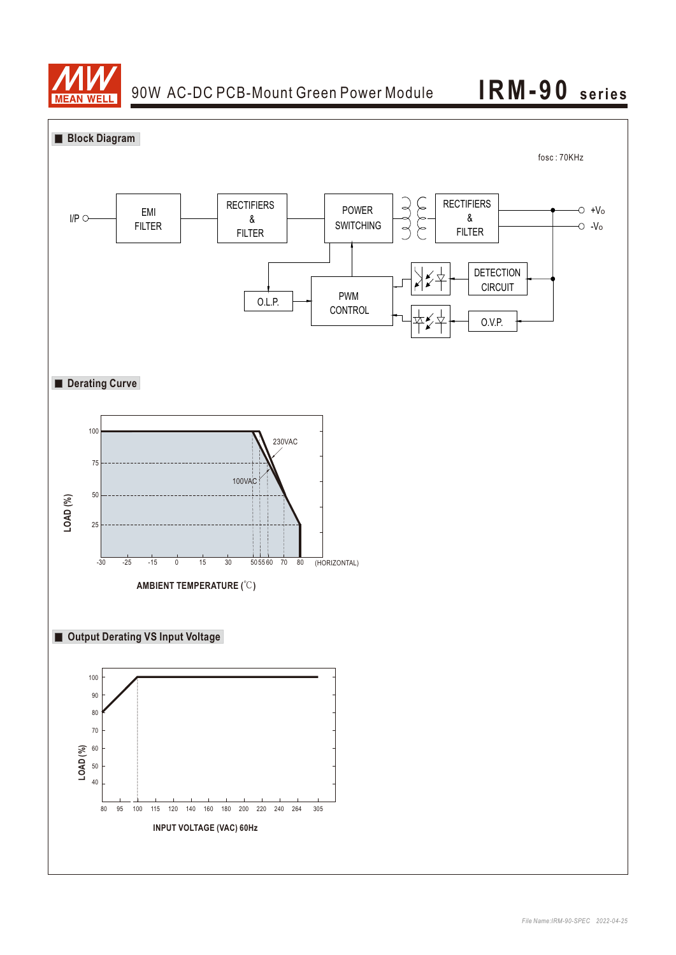